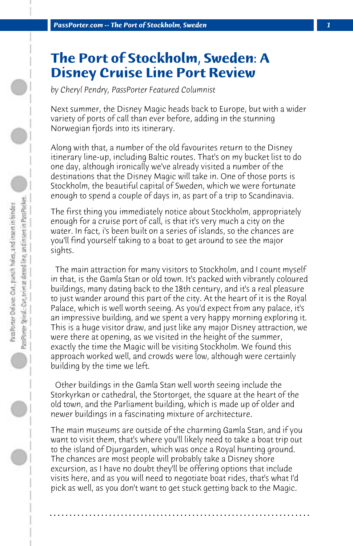## **The Port of Stockholm, Sweden: A Disney Cruise Line Port Review**

*by Cheryl Pendry, PassPorter Featured Columnist*

Next summer, the Disney Magic heads back to Europe, but with a wider variety of ports of call than ever before, adding in the stunning Norwegian fjords into its itinerary.

Along with that, a number of the old favourites return to the Disney itinerary line-up, including Baltic routes. That's on my bucket list to do one day, although ironically we've already visited a number of the destinations that the Disney Magic will take in. One of those ports is Stockholm, the beautiful capital of Sweden, which we were fortunate enough to spend a couple of days in, as part of a trip to Scandinavia.

The first thing you immediately notice about Stockholm, appropriately enough for a cruise port of call, is that it's very much a city on the water. In fact, i's been built on a series of islands, so the chances are you'll find yourself taking to a boat to get around to see the major sights.

 The main attraction for many visitors to Stockholm, and I count myself in that, is the Gamla Stan or old town. It's packed with vibrantly coloured buildings, many dating back to the 18th century, and it's a real pleasure to just wander around this part of the city. At the heart of it is the Royal Palace, which is well worth seeing. As you'd expect from any palace, it's an impressive building, and we spent a very happy morning exploring it. This is a huge visitor draw, and just like any major Disney attraction, we were there at opening, as we visited in the height of the summer, exactly the time the Magic will be visiting Stockholm. We found this approach worked well, and crowds were low, although were certainly building by the time we left.

 Other buildings in the Gamla Stan well worth seeing include the Storkyrkan or cathedral, the Stortorget, the square at the heart of the old town, and the Parliament building, which is made up of older and newer buildings in a fascinating mixture of architecture.

The main museums are outside of the charming Gamla Stan, and if you want to visit them, that's where you'll likely need to take a boat trip out to the island of Djurgarden, which was once a Royal hunting ground. The chances are most people will probably take a Disney shore excursion, as I have no doubt they'll be offering options that include visits here, and as you will need to negotiate boat rides, that's what I'd pick as well, as you don't want to get stuck getting back to the Magic.

**. . . . . . . . . . . . . . . . . . . . . . . . . . . . . . . . . . . . . . . . . . . . . . . . . . . . . . . . . . . . . . . . . .**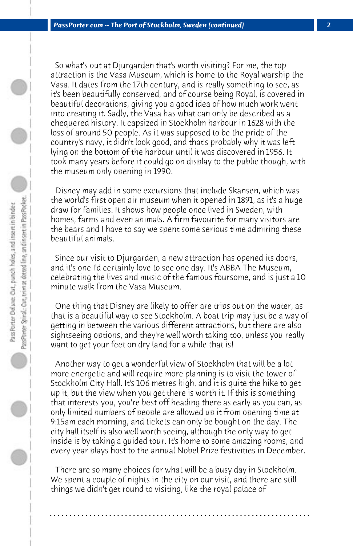So what's out at Djurgarden that's worth visiting? For me, the top attraction is the Vasa Museum, which is home to the Royal warship the Vasa. It dates from the 17th century, and is really something to see, as it's been beautifully conserved, and of course being Royal, is covered in beautiful decorations, giving you a good idea of how much work went into creating it. Sadly, the Vasa has what can only be described as a chequered history. It capsized in Stockholm harbour in 1628 with the loss of around 50 people. As it was supposed to be the pride of the country's navy, it didn't look good, and that's probably why it was left lying on the bottom of the harbour until it was discovered in 1956. It took many years before it could go on display to the public though, with the museum only opening in 1990.

 Disney may add in some excursions that include Skansen, which was the world's first open air museum when it opened in 1891, as it's a huge draw for families. It shows how people once lived in Sweden, with homes, farms and even animals. A firm favourite for many visitors are the bears and I have to say we spent some serious time admiring these beautiful animals.

 Since our visit to Djurgarden, a new attraction has opened its doors, and it's one I'd certainly love to see one day. It's ABBA The Museum, celebrating the lives and music of the famous foursome, and is just a 10 minute walk from the Vasa Museum.

 One thing that Disney are likely to offer are trips out on the water, as that is a beautiful way to see Stockholm. A boat trip may just be a way of getting in between the various different attractions, but there are also sightseeing options, and they're well worth taking too, unless you really want to get your feet on dry land for a while that is!

 Another way to get a wonderful view of Stockholm that will be a lot more energetic and will require more planning is to visit the tower of Stockholm City Hall. It's 106 metres high, and it is quite the hike to get up it, but the view when you get there is worth it. If this is something that interests you, you're best off heading there as early as you can, as only limited numbers of people are allowed up it from opening time at 9:15am each morning, and tickets can only be bought on the day. The city hall itself is also well worth seeing, although the only way to get inside is by taking a guided tour. It's home to some amazing rooms, and every year plays host to the annual Nobel Prize festivities in December.

 There are so many choices for what will be a busy day in Stockholm. We spent a couple of nights in the city on our visit, and there are still things we didn't get round to visiting, like the royal palace of

**. . . . . . . . . . . . . . . . . . . . . . . . . . . . . . . . . . . . . . . . . . . . . . . . . . . . . . . . . . . . . . . . . .**